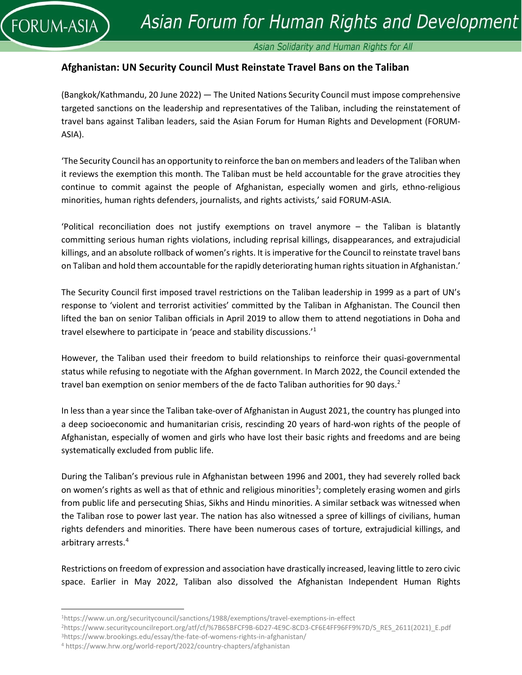

## Asian Solidarity and Human Rights for All

# **Afghanistan: UN Security Council Must Reinstate Travel Bans on the Taliban**

(Bangkok/Kathmandu, 20 June 2022) — The United Nations Security Council must impose comprehensive targeted sanctions on the leadership and representatives of the Taliban, including the reinstatement of travel bans against Taliban leaders, said the Asian Forum for Human Rights and Development (FORUM-ASIA).

'The Security Council has an opportunity to reinforce the ban on members and leaders of the Taliban when it reviews the exemption this month. The Taliban must be held accountable for the grave atrocities they continue to commit against the people of Afghanistan, especially women and girls, ethno-religious minorities, human rights defenders, journalists, and rights activists,' said FORUM-ASIA.

'Political reconciliation does not justify exemptions on travel anymore – the Taliban is blatantly committing serious human rights violations, including reprisal killings, disappearances, and extrajudicial killings, and an absolute rollback of women's rights. It is imperative for the Council to reinstate travel bans on Taliban and hold them accountable for the rapidly deteriorating human rights situation in Afghanistan.'

The Security Council first imposed travel restrictions on the Taliban leadership in 1999 as a part of UN's response to 'violent and terrorist activities' committed by the Taliban in Afghanistan. The Council then lifted the ban on senior Taliban officials in April 2019 to allow them to attend negotiations in Doha and travel elsewhere to participate in 'peace and stability discussions.' [1](#page-0-0)

However, the Taliban used their freedom to build relationships to reinforce their quasi-governmental status while refusing to negotiate with the Afghan government. In March 2022, the Council extended the travel ban exemption on senior members of the de facto Taliban authorities for 90 days.<sup>[2](#page-0-1)</sup>

In less than a year since the Taliban take-over of Afghanistan in August 2021, the country has plunged into a deep socioeconomic and humanitarian crisis, rescinding 20 years of hard-won rights of the people of Afghanistan, especially of women and girls who have lost their basic rights and freedoms and are being systematically excluded from public life.

During the Taliban's previous rule in Afghanistan between 1996 and 2001, they had severely rolled back on women's rights as well as that of ethnic and religious minorities<sup>[3](#page-0-2)</sup>; completely erasing women and girls from public life and persecuting Shias, Sikhs and Hindu minorities. A similar setback was witnessed when the Taliban rose to power last year. The nation has also witnessed a spree of killings of civilians, human rights defenders and minorities. There have been numerous cases of torture, extrajudicial killings, and arbitrary arrests[.4](#page-0-3)

Restrictions on freedom of expression and association have drastically increased, leaving little to zero civic space. Earlier in May 2022, Taliban also dissolved the Afghanistan Independent Human Rights

<span id="page-0-0"></span><sup>1</sup>https://www.un.org/securitycouncil/sanctions/1988/exemptions/travel-exemptions-in-effect

<span id="page-0-1"></span><sup>2</sup>https://www.securitycouncilreport.org/atf/cf/%7B65BFCF9B-6D27-4E9C-8CD3-CF6E4FF96FF9%7D/S\_RES\_2611(2021)\_E.pdf

<span id="page-0-2"></span><sup>3</sup>https://www.brookings.edu/essay/the-fate-of-womens-rights-in-afghanistan/

<span id="page-0-3"></span><sup>4</sup> <https://www.hrw.org/world-report/2022/country-chapters/afghanistan>